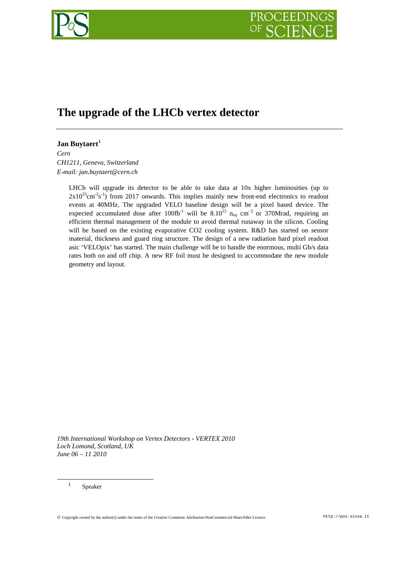# **The upgrade of the LHCb vertex detector**

# **Jan Buytaert[1](#page-0-0)**

*Cern CH1211, Geneva, Switzerland E-mail: jan.buytaert@cern.ch*

> LHCb will upgrade its detector to be able to take data at 10x higher luminosities (up to  $2x10^{33}$ cm<sup>-2</sup>s<sup>-1</sup>) from 2017 onwards. This implies mainly new front-end electronics to readout events at 40MHz. The upgraded VELO baseline design will be a pixel based device. The expected accumulated dose after 100fb<sup>-1</sup> will be  $8.10^{15}$  n<sub>eq</sub> cm<sup>-2</sup> or 370Mrad, requiring an efficient thermal management of the module to avoid thermal runaway in the silicon. Cooling will be based on the existing evaporative CO2 cooling system. R&D has started on sensor material, thickness and guard ring structure. The design of a new radiation hard pixel readout asic 'VELOpix' has started. The main challenge will be to handle the enormous, multi Gb/s data rates both on and off chip. A new RF foil must be designed to accommodate the new module geometry and layout.

*19th International Workshop on Vertex Detectors - VERTEX 2010 Loch Lomond, Scotland, UK June 06 – 11 2010*

<sup>1</sup> Speaker

<span id="page-0-0"></span>Copyright owned by the author(s) under the terms of the Creative Commons Attribution-NonCommercial-ShareAlike Licence. http://pos.sissa.it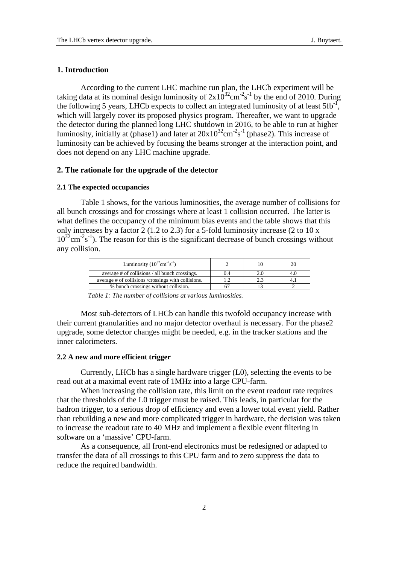# **1. Introduction**

According to the current LHC machine run plan, the LHCb experiment will be taking data at its nominal design luminosity of  $2x10^{32}$ cm<sup>-2</sup>s<sup>-1</sup> by the end of 2010. During the following 5 years, LHCb expects to collect an integrated luminosity of at least  $5fb^{-1}$ , which will largely cover its proposed physics program. Thereafter, we want to upgrade the detector during the planned long LHC shutdown in 2016, to be able to run at higher luminosity, initially at (phase1) and later at  $20x10^{32}$ cm<sup>-2</sup>s<sup>-1</sup> (phase2). This increase of luminosity can be achieved by focusing the beams stronger at the interaction point, and does not depend on any LHC machine upgrade.

# **2. The rationale for the upgrade of the detector**

# **2.1 The expected occupancies**

Table 1 shows, for the various luminosities, the average number of collisions for all bunch crossings and for crossings where at least 1 collision occurred. The latter is what defines the occupancy of the minimum bias events and the table shows that this only increases by a factor 2 (1.2 to 2.3) for a 5-fold luminosity increase (2 to 10 x  $10^{32}$ cm<sup>-2</sup>s<sup>-1</sup>). The reason for this is the significant decrease of bunch crossings without any collision.

*Table 1: The number of collisions at various luminosities.* 

Most sub-detectors of LHCb can handle this twofold occupancy increase with their current granularities and no major detector overhaul is necessary. For the phase2 upgrade, some detector changes might be needed, e.g. in the tracker stations and the inner calorimeters.

#### **2.2 A new and more efficient trigger**

Currently, LHCb has a single hardware trigger (L0), selecting the events to be read out at a maximal event rate of 1MHz into a large CPU-farm.

When increasing the collision rate, this limit on the event readout rate requires that the thresholds of the L0 trigger must be raised. This leads, in particular for the hadron trigger, to a serious drop of efficiency and even a lower total event yield. Rather than rebuilding a new and more complicated trigger in hardware, the decision was taken to increase the readout rate to 40 MHz and implement a flexible event filtering in software on a 'massive' CPU-farm.

As a consequence, all front-end electronics must be redesigned or adapted to transfer the data of all crossings to this CPU farm and to zero suppress the data to reduce the required bandwidth.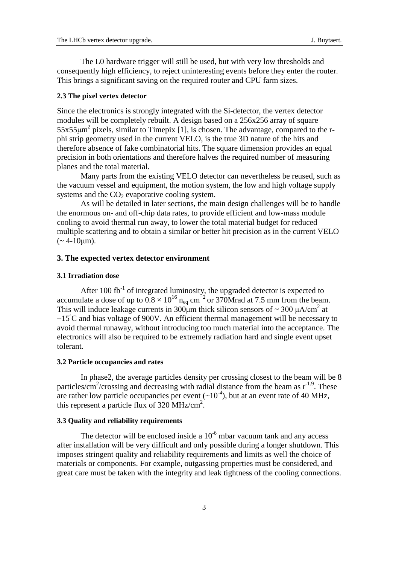The L0 hardware trigger will still be used, but with very low thresholds and consequently high efficiency, to reject uninteresting events before they enter the router. This brings a significant saving on the required router and CPU farm sizes.

#### **2.3 The pixel vertex detector**

Since the electronics is strongly integrated with the Si-detector, the vertex detector modules will be completely rebuilt. A design based on a 256x256 array of square  $55x55\mu m^2$  pixels, similar to Timepix [1], is chosen. The advantage, compared to the rphi strip geometry used in the current VELO, is the true 3D nature of the hits and therefore absence of fake combinatorial hits. The square dimension provides an equal precision in both orientations and therefore halves the required number of measuring planes and the total material.

Many parts from the existing VELO detector can nevertheless be reused, such as the vacuum vessel and equipment, the motion system, the low and high voltage supply systems and the  $CO<sub>2</sub>$  evaporative cooling system.

As will be detailed in later sections, the main design challenges will be to handle the enormous on- and off-chip data rates, to provide efficient and low-mass module cooling to avoid thermal run away, to lower the total material budget for reduced multiple scattering and to obtain a similar or better hit precision as in the current VELO  $(-4-10 \mu m)$ .

# **3. The expected vertex detector environment**

#### **3.1 Irradiation dose**

After 100 fb<sup>-1</sup> of integrated luminosity, the upgraded detector is expected to accumulate a dose of up to  $0.8 \times 10^{16}$  n<sub>eq</sub> cm<sup>-2</sup> or 370Mrad at 7.5 mm from the beam. This will induce leakage currents in 300<sub>u</sub>m thick silicon sensors of  $\sim$  300  $\mu$ A/cm<sup>2</sup> at −15◦ C and bias voltage of 900V. An efficient thermal management will be necessary to avoid thermal runaway, without introducing too much material into the acceptance. The electronics will also be required to be extremely radiation hard and single event upset tolerant.

#### **3.2 Particle occupancies and rates**

In phase2, the average particles density per crossing closest to the beam will be 8 particles/ $\text{cm}^2/\text{crossing}$  and decreasing with radial distance from the beam as  $r^{1.9}$ . These are rather low particle occupancies per event  $({\sim}10^{-4})$ , but at an event rate of 40 MHz, this represent a particle flux of 320 MHz/cm<sup>2</sup>.

# **3.3 Quality and reliability requirements**

The detector will be enclosed inside a  $10^{-6}$  mbar vacuum tank and any access after installation will be very difficult and only possible during a longer shutdown. This imposes stringent quality and reliability requirements and limits as well the choice of materials or components. For example, outgassing properties must be considered, and great care must be taken with the integrity and leak tightness of the cooling connections.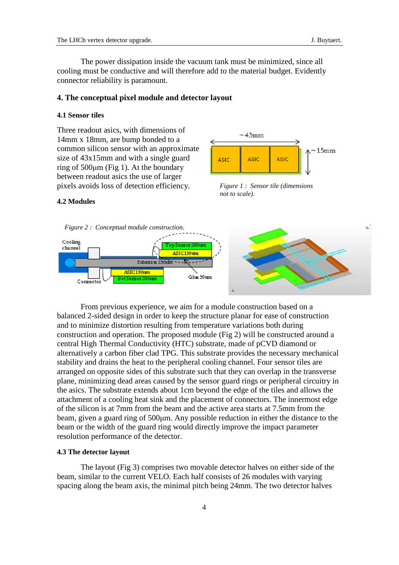The power dissipation inside the vacuum tank must be minimized, since all cooling must be conductive and will therefore add to the material budget. Evidently connector reliability is paramount.

#### **4. The conceptual pixel module and detector layout**

# **4.1 Sensor tiles**

Three readout asics, with dimensions of 14mm x 18mm, are bump bonded to a common silicon sensor with an approximate size of 43x15mm and with a single guard ring of 500μm (Fig 1). At the boundary between readout asics the use of larger pixels avoids loss of detection efficiency.



*Figure 1 : Sensor tile (dimensions not to scale).*

# **4.2 Modules**



From previous experience, we aim for a module construction based on a balanced 2-sided design in order to keep the structure planar for ease of construction and to minimize distortion resulting from temperature variations both during construction and operation. The proposed module (Fig 2) will be constructed around a central High Thermal Conductivity (HTC) substrate, made of pCVD diamond or alternatively a carbon fiber clad TPG. This substrate provides the necessary mechanical stability and drains the heat to the peripheral cooling channel. Four sensor tiles are arranged on opposite sides of this substrate such that they can overlap in the transverse plane, minimizing dead areas caused by the sensor guard rings or peripheral circuitry in the asics. The substrate extends about 1cm beyond the edge of the tiles and allows the attachment of a cooling heat sink and the placement of connectors. The innermost edge of the silicon is at 7mm from the beam and the active area starts at 7.5mm from the beam, given a guard ring of 500μm. Any possible reduction in either the distance to the beam or the width of the guard ring would directly improve the impact parameter resolution performance of the detector.

#### **4.3 The detector layout**

The layout (Fig 3) comprises two movable detector halves on either side of the beam, similar to the current VELO. Each half consists of 26 modules with varying spacing along the beam axis, the minimal pitch being 24mm. The two detector halves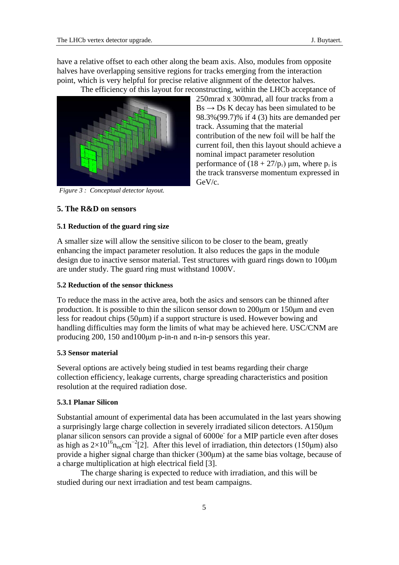250mrad x 300mrad, all four tracks from a  $Bs \rightarrow Ds$  K decay has been simulated to be 98.3%(99.7)% if 4 (3) hits are demanded per

contribution of the new foil will be half the current foil, then this layout should achieve a

performance of  $(18 + 27/p_{\rm T})$  μm, where  $p_{\rm T}$  is the track transverse momentum expressed in

track. Assuming that the material

nominal impact parameter resolution

have a relative offset to each other along the beam axis. Also, modules from opposite halves have overlapping sensitive regions for tracks emerging from the interaction point, which is very helpful for precise relative alignment of the detector halves. The efficiency of this layout for reconstructing, within the LHCb acceptance of

*Figure 3 : Conceptual detector layout.*

**5. The R&D on sensors**

# **5.1 Reduction of the guard ring size**

A smaller size will allow the sensitive silicon to be closer to the beam, greatly enhancing the impact parameter resolution. It also reduces the gaps in the module design due to inactive sensor material. Test structures with guard rings down to 100μm are under study. The guard ring must withstand 1000V.

GeV/c.

# **5.2 Reduction of the sensor thickness**

To reduce the mass in the active area, both the asics and sensors can be thinned after production. It is possible to thin the silicon sensor down to 200μm or 150μm and even less for readout chips (50μm) if a support structure is used. However bowing and handling difficulties may form the limits of what may be achieved here. USC/CNM are producing 200, 150 and100μm p-in-n and n-in-p sensors this year.

# **5.3 Sensor material**

Several options are actively being studied in test beams regarding their charge collection efficiency, leakage currents, charge spreading characteristics and position resolution at the required radiation dose.

# **5.3.1 Planar Silicon**

Substantial amount of experimental data has been accumulated in the last years showing a surprisingly large charge collection in severely irradiated silicon detectors. A150μm planar silicon sensors can provide a signal of 6000e<sup>-</sup> for a MIP particle even after doses as high as  $2\times10^{16}$ n<sub>eq</sub>cm<sup>-2</sup>[2]. After this level of irradiation, thin detectors (150µm) also provide a higher signal charge than thicker (300μm) at the same bias voltage, because of a charge multiplication at high electrical field [3].

The charge sharing is expected to reduce with irradiation, and this will be studied during our next irradiation and test beam campaigns.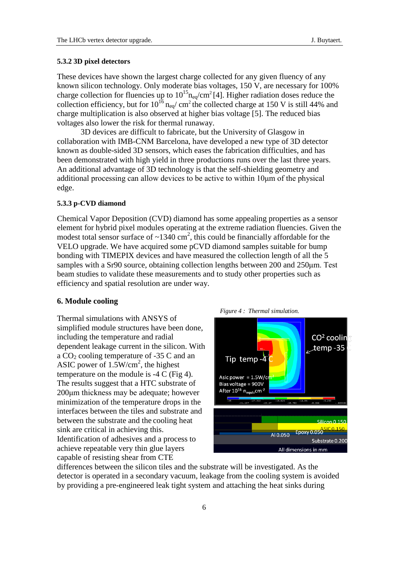### **5.3.2 3D pixel detectors**

These devices have shown the largest charge collected for any given fluency of any known silicon technology. Only moderate bias voltages, 150 V, are necessary for 100% charge collection for fluencies up to  $10^{15}$ n<sub>eq</sub>/cm<sup>2</sup> [4]. Higher radiation doses reduce the collection efficiency, but for  $10^{16}$   $_{\text{neq}}$ / cm<sup>2</sup> the collected charge at 150 V is still 44% and charge multiplication is also observed at higher bias voltage [5]. The reduced bias voltages also lower the risk for thermal runaway.

3D devices are difficult to fabricate, but the University of Glasgow in collaboration with IMB-CNM Barcelona, have developed a new type of 3D detector known as double-sided 3D sensors, which eases the fabrication difficulties, and has been demonstrated with high yield in three productions runs over the last three years. An additional advantage of 3D technology is that the self-shielding geometry and additional processing can allow devices to be active to within 10μm of the physical edge.

#### **5.3.3 p-CVD diamond**

Chemical Vapor Deposition (CVD) diamond has some appealing properties as a sensor element for hybrid pixel modules operating at the extreme radiation fluencies. Given the modest total sensor surface of  $\sim$ 1340 cm<sup>2</sup>, this could be financially affordable for the VELO upgrade. We have acquired some pCVD diamond samples suitable for bump bonding with TIMEPIX devices and have measured the collection length of all the 5 samples with a Sr90 source, obtaining collection lengths between 200 and 250μm. Test beam studies to validate these measurements and to study other properties such as efficiency and spatial resolution are under way.

#### **6. Module cooling**

Thermal simulations with ANSYS of simplified module structures have been done, including the temperature and radial dependent leakage current in the silicon. With a  $CO<sub>2</sub>$  cooling temperature of -35 C and an ASIC power of 1.5W/cm<sup>2</sup>, the highest temperature on the module is -4 C (Fig 4). The results suggest that a HTC substrate of 200μm thickness may be adequate; however minimization of the temperature drops in the interfaces between the tiles and substrate and between the substrate and the cooling heat sink are critical in achieving this. Identification of adhesives and a process to achieve repeatable very thin glue layers capable of resisting shear from CTE



differences between the silicon tiles and the substrate will be investigated. As the detector is operated in a secondary vacuum, leakage from the cooling system is avoided by providing a pre-engineered leak tight system and attaching the heat sinks during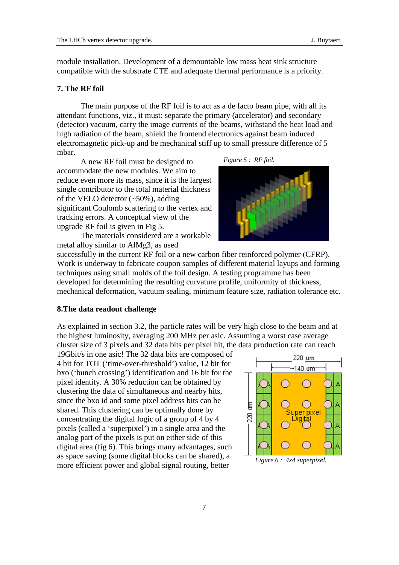module installation. Development of a demountable low mass heat sink structure compatible with the substrate CTE and adequate thermal performance is a priority.

# **7. The RF foil**

The main purpose of the RF foil is to act as a de facto beam pipe, with all its attendant functions, viz., it must: separate the primary (accelerator) and secondary (detector) vacuum, carry the image currents of the beams, withstand the heat load and high radiation of the beam, shield the frontend electronics against beam induced electromagnetic pick-up and be mechanical stiff up to small pressure difference of 5 mbar.

A new RF foil must be designed to accommodate the new modules. We aim to reduce even more its mass, since it is the largest single contributor to the total material thickness of the VELO detector (~50%), adding significant Coulomb scattering to the vertex and tracking errors. A conceptual view of the upgrade RF foil is given in Fig 5.

The materials considered are a workable metal alloy similar to AlMg3, as used





successfully in the current RF foil or a new carbon fiber reinforced polymer (CFRP). Work is underway to fabricate coupon samples of different material layups and forming techniques using small molds of the foil design. A testing programme has been developed for determining the resulting curvature profile, uniformity of thickness, mechanical deformation, vacuum sealing, minimum feature size, radiation tolerance etc.

# **8.The data readout challenge**

As explained in section 3.2, the particle rates will be very high close to the beam and at the highest luminosity, averaging 200 MHz per asic. Assuming a worst case average cluster size of 3 pixels and 32 data bits per pixel hit, the data production rate can reach

19Gbit/s in one asic! The 32 data bits are composed of 4 bit for TOT ('time-over-threshold') value, 12 bit for bxo ('bunch crossing') identification and 16 bit for the pixel identity. A 30% reduction can be obtained by clustering the data of simultaneous and nearby hits, since the bxo id and some pixel address bits can be shared. This clustering can be optimally done by concentrating the digital logic of a group of 4 by 4 pixels (called a 'superpixel') in a single area and the analog part of the pixels is put on either side of this digital area (fig 6). This brings many advantages, such as space saving (some digital blocks can be shared), a more efficient power and global signal routing, better

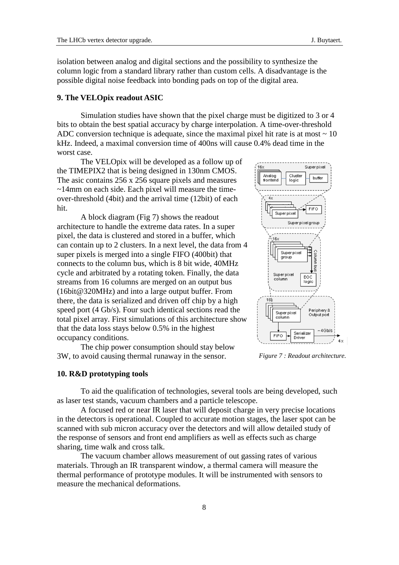isolation between analog and digital sections and the possibility to synthesize the column logic from a standard library rather than custom cells. A disadvantage is the possible digital noise feedback into bonding pads on top of the digital area.

#### **9. The VELOpix readout ASIC**

Simulation studies have shown that the pixel charge must be digitized to 3 or 4 bits to obtain the best spatial accuracy by charge interpolation. A time-over-threshold ADC conversion technique is adequate, since the maximal pixel hit rate is at most  $\sim 10$ kHz. Indeed, a maximal conversion time of 400ns will cause 0.4% dead time in the worst case.

The VELOpix will be developed as a follow up of the TIMEPIX2 that is being designed in 130nm CMOS. The asic contains 256 x 256 square pixels and measures ~14mm on each side. Each pixel will measure the timeover-threshold (4bit) and the arrival time (12bit) of each hit.

A block diagram (Fig 7) shows the readout architecture to handle the extreme data rates. In a super pixel, the data is clustered and stored in a buffer, which can contain up to 2 clusters. In a next level, the data from 4 super pixels is merged into a single FIFO (400bit) that connects to the column bus, which is 8 bit wide, 40MHz cycle and arbitrated by a rotating token. Finally, the data streams from 16 columns are merged on an output bus (16bit@320MHz) and into a large output buffer. From there, the data is serialized and driven off chip by a high speed port (4 Gb/s). Four such identical sections read the total pixel array. First simulations of this architecture show that the data loss stays below 0.5% in the highest occupancy conditions.

The chip power consumption should stay below 3W, to avoid causing thermal runaway in the sensor.

### **10. R&D prototyping tools**

To aid the qualification of technologies, several tools are being developed, such as laser test stands, vacuum chambers and a particle telescope.

A focused red or near IR laser that will deposit charge in very precise locations in the detectors is operational. Coupled to accurate motion stages, the laser spot can be scanned with sub micron accuracy over the detectors and will allow detailed study of the response of sensors and front end amplifiers as well as effects such as charge sharing, time walk and cross talk.

The vacuum chamber allows measurement of out gassing rates of various materials. Through an IR transparent window, a thermal camera will measure the thermal performance of prototype modules. It will be instrumented with sensors to measure the mechanical deformations.



*Figure 7 : Readout architecture.*